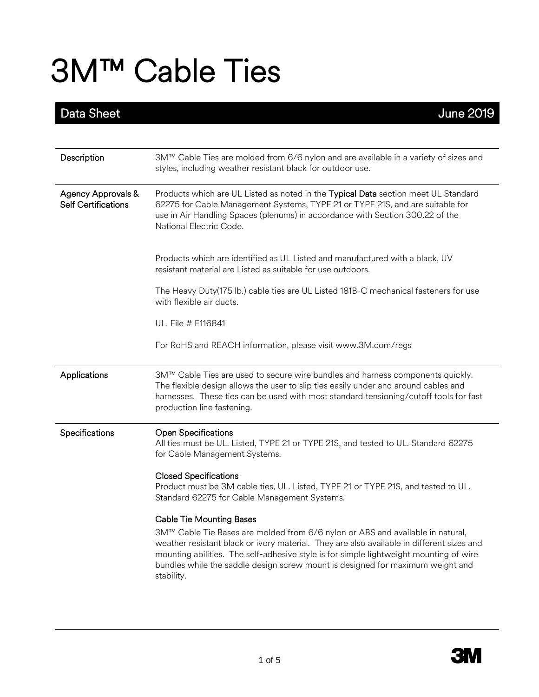| Data Sheet                                                  | <b>June 2019</b>                                                                                                                                                                                                                                                                                                                                                      |
|-------------------------------------------------------------|-----------------------------------------------------------------------------------------------------------------------------------------------------------------------------------------------------------------------------------------------------------------------------------------------------------------------------------------------------------------------|
|                                                             |                                                                                                                                                                                                                                                                                                                                                                       |
| Description                                                 | 3M™ Cable Ties are molded from 6/6 nylon and are available in a variety of sizes and<br>styles, including weather resistant black for outdoor use.                                                                                                                                                                                                                    |
| <b>Agency Approvals &amp;</b><br><b>Self Certifications</b> | Products which are UL Listed as noted in the Typical Data section meet UL Standard<br>62275 for Cable Management Systems, TYPE 21 or TYPE 21S, and are suitable for<br>use in Air Handling Spaces (plenums) in accordance with Section 300.22 of the<br>National Electric Code.                                                                                       |
|                                                             | Products which are identified as UL Listed and manufactured with a black, UV<br>resistant material are Listed as suitable for use outdoors.                                                                                                                                                                                                                           |
|                                                             | The Heavy Duty(175 lb.) cable ties are UL Listed 181B-C mechanical fasteners for use<br>with flexible air ducts.                                                                                                                                                                                                                                                      |
|                                                             | UL. File # E116841                                                                                                                                                                                                                                                                                                                                                    |
|                                                             | For RoHS and REACH information, please visit www.3M.com/regs                                                                                                                                                                                                                                                                                                          |
| Applications                                                | 3M™ Cable Ties are used to secure wire bundles and harness components quickly.<br>The flexible design allows the user to slip ties easily under and around cables and<br>harnesses. These ties can be used with most standard tensioning/cutoff tools for fast<br>production line fastening.                                                                          |
| Specifications                                              | <b>Open Specifications</b><br>All ties must be UL. Listed, TYPE 21 or TYPE 21S, and tested to UL. Standard 62275<br>for Cable Management Systems.                                                                                                                                                                                                                     |
|                                                             | <b>Closed Specifications</b><br>Product must be 3M cable ties, UL. Listed, TYPE 21 or TYPE 21S, and tested to UL.<br>Standard 62275 for Cable Management Systems.                                                                                                                                                                                                     |
|                                                             | <b>Cable Tie Mounting Bases</b>                                                                                                                                                                                                                                                                                                                                       |
|                                                             | 3M™ Cable Tie Bases are molded from 6/6 nylon or ABS and available in natural,<br>weather resistant black or ivory material. They are also available in different sizes and<br>mounting abilities. The self-adhesive style is for simple lightweight mounting of wire<br>bundles while the saddle design screw mount is designed for maximum weight and<br>stability. |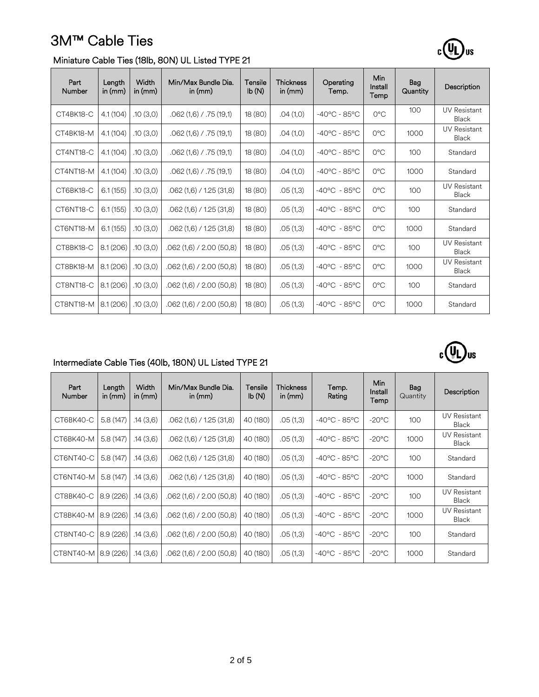

### Miniature Cable Ties (18lb, 80N) UL Listed TYPE 21

| Part<br><b>Number</b> | Length<br>in $(mm)$ | Width<br>in $(mm)$ | Min/Max Bundle Dia.<br>in $(mm)$ | Tensile<br>$\mathsf{lb}(\mathsf{N})$ | <b>Thickness</b><br>in $(mm)$ | Operating<br>Temp.     | Min<br>Install<br>Temp | Bag<br>Quantity | Description                  |
|-----------------------|---------------------|--------------------|----------------------------------|--------------------------------------|-------------------------------|------------------------|------------------------|-----------------|------------------------------|
| CT4BK18-C             | 4.1(104)            | .10(3,0)           | $.062(1,6)$ / .75 (19,1)         | 18(80)                               | .04(1,0)                      | $-40^{\circ}$ C - 85°C | $O^{\circ}C$           | 100             | <b>UV Resistant</b><br>Black |
| CT4BK18-M             | 4.1(104)            | .10(3,0)           | .062 (1.6) / .75 (19.1)          | 18 (80)                              | .04(1,0)                      | $-40^{\circ}$ C - 85°C | $O^{\circ}C$           | 1000            | <b>UV Resistant</b><br>Black |
| CT4NT18-C             | 4.1(104)            | .10(3,0)           | $.062(1,6)$ / .75 (19,1)         | 18(80)                               | .04(1,0)                      | $-40^{\circ}$ C - 85°C | $O^{\circ}C$           | 100             | Standard                     |
| CT4NT18-M             | 4.1(104)            | .10(3,0)           | $.062(1,6)$ / .75 (19,1)         | 18 (80)                              | .04(1,0)                      | $-40^{\circ}$ C - 85°C | $O^{\circ}C$           | 1000            | Standard                     |
| CT6BK18-C             | 6.1(155)            | .10(3,0)           | $.062(1,6)$ / 1.25 (31,8)        | 18(80)                               | .05(1,3)                      | $-40^{\circ}$ C - 85°C | $O^{\circ}C$           | 100             | <b>UV Resistant</b><br>Black |
| CT6NT18-C             | 6.1(155)            | .10(3,0)           | $.062(1,6)$ / 1.25 (31,8)        | 18(80)                               | .05(1,3)                      | $-40^{\circ}$ C - 85°C | $O^{\circ}C$           | 100             | Standard                     |
| CT6NT18-M             | 6.1(155)            | .10(3,0)           | $.062(1,6)$ / 1.25 (31,8)        | 18 (80)                              | .05(1,3)                      | $-40^{\circ}$ C - 85°C | $O^{\circ}C$           | 1000            | Standard                     |
| CT8BK18-C             | 8.1(206)            | .10(3,0)           | $.062(1,6)$ / 2.00 (50,8)        | 18 (80)                              | .05(1,3)                      | $-40^{\circ}$ C - 85°C | $O^{\circ}C$           | 100             | <b>UV Resistant</b><br>Black |
| CT8BK18-M             | 8.1(206)            | .10(3,0)           | $.062(1,6)$ / 2.00 (50,8)        | 18 (80)                              | .05(1,3)                      | $-40^{\circ}$ C - 85°C | $O^{\circ}C$           | 1000            | <b>UV Resistant</b><br>Black |
| CT8NT18-C             | 8.1(206)            | .10(3,0)           | $.062(1,6)$ / 2.00 (50,8)        | 18(80)                               | .05(1,3)                      | $-40^{\circ}$ C - 85°C | $O^{\circ}C$           | 100             | Standard                     |
| CT8NT18-M             | 8.1(206)            | .10(3,0)           | $.062(1,6)$ / 2.00 (50,8)        | 18 (80)                              | .05(1,3)                      | $-40^{\circ}$ C - 85°C | $O^{\circ}C$           | 1000            | Standard                     |



### Intermediate Cable Ties (40lb, 180N) UL Listed TYPE 21

| Part<br>Number | Length<br>in $(mm)$ | Width<br>in (mm) | Min/Max Bundle Dia.<br>in $(mm)$ | Tensile<br>Ib(N) | Thickness<br>in $(mm)$ | Temp.<br>Rating        | <b>Min</b><br>Install<br>Temp | Bag<br>Quantity | Description                         |
|----------------|---------------------|------------------|----------------------------------|------------------|------------------------|------------------------|-------------------------------|-----------------|-------------------------------------|
| CT6BK40-C      | 5.8(147)            | .14(3.6)         | $.062(1,6)$ / 1.25 (31,8)        | 40 (180)         | .05(1,3)               | $-40^{\circ}$ C - 85°C | $-20^{\circ}$ C               | 100             | <b>UV Resistant</b><br><b>Black</b> |
| CT6BK40-M      | 5.8(147)            | .14(3.6)         | $.062(1,6)$ / 1.25 (31,8)        | 40 (180)         | .05(1,3)               | $-40^{\circ}$ C - 85°C | $-20^{\circ}$ C               | 1000            | <b>UV Resistant</b><br><b>Black</b> |
| CT6NT40-C      | 5.8(147)            | .14(3.6)         | $.062(1,6)$ / 1.25 (31,8)        | 40 (180)         | .05(1,3)               | $-40^{\circ}$ C - 85°C | $-20^{\circ}$ C               | 100             | Standard                            |
| CT6NT40-M      | 5.8(147)            | .14 (3,6)        | $.062(1,6)$ / 1.25 (31,8)        | 40 (180)         | .05(1,3)               | $-40^{\circ}$ C - 85°C | $-20^{\circ}$ C               | 1000            | Standard                            |
| CT8BK40-C      | 8.9(226)            | .14 (3,6)        | $.062(1,6)$ / 2.00 (50,8)        | 40 (180)         | .05(1,3)               | $-40^{\circ}$ C - 85°C | $-20^{\circ}$ C               | 100             | <b>UV Resistant</b><br><b>Black</b> |
| CT8BK40-M      | 8.9(226)            | .14(3.6)         | $.062(1,6)$ / 2.00 (50,8)        | 40 (180)         | .05(1,3)               | $-40^{\circ}$ C - 85°C | $-20^{\circ}$ C               | 1000            | <b>UV Resistant</b><br>Black        |
| CT8NT40-C      | 8.9(226)            | .14(3.6)         | $.062(1,6)$ / 2.00 (50,8)        | 40 (180)         | .05(1,3)               | $-40^{\circ}$ C - 85°C | $-20^{\circ}$ C               | 100             | Standard                            |
| CT8NT40-M      | 8.9(226)            | .14 (3,6)        | $.062(1,6)$ / 2.00 (50,8)        | 40 (180)         | .05(1,3)               | $-40^{\circ}$ C - 85°C | $-20^{\circ}$ C               | 1000            | Standard                            |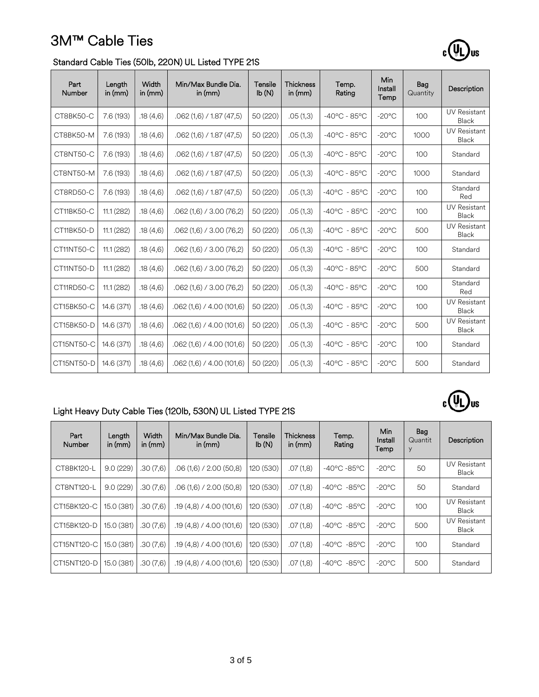

 $c(U_L)$ us

#### Standard Cable Ties (50lb, 220N) UL Listed TYPE 21S

| Part<br><b>Number</b> | Length<br>in $(mm)$ | Width<br>in $(mm)$ | Min/Max Bundle Dia.<br>in $(mm)$ | Tensile<br>lb(N) | <b>Thickness</b><br>in $(mm)$ | Temp.<br>Rating        | Min<br>Install<br>Temp | Bag<br>Quantity | Description                         |
|-----------------------|---------------------|--------------------|----------------------------------|------------------|-------------------------------|------------------------|------------------------|-----------------|-------------------------------------|
| CT8BK50-C             | 7.6 (193)           | .18(4.6)           | $.062(1,6)$ / 1.87 (47,5)        | 50 (220)         | .05(1,3)                      | $-40^{\circ}$ C - 85°C | $-20^{\circ}$ C        | 100             | <b>UV Resistant</b><br><b>Black</b> |
| CT8BK50-M             | 7.6 (193)           | .18(4,6)           | $.062(1,6)$ / 1.87 (47,5)        | 50 (220)         | .05(1,3)                      | $-40^{\circ}$ C - 85°C | $-20^{\circ}$ C        | 1000            | <b>UV Resistant</b><br><b>Black</b> |
| CT8NT50-C             | 7.6(193)            | .18(4.6)           | $.062(1.6)$ / 1.87 (47.5)        | 50 (220)         | .05(1,3)                      | $-40^{\circ}$ C - 85°C | $-20^{\circ}$ C        | 100             | Standard                            |
| CT8NT50-M             | 7.6 (193)           | .18(4.6)           | $.062(1,6)$ / 1.87 (47,5)        | 50 (220)         | .05(1,3)                      | $-40^{\circ}$ C - 85°C | $-20^{\circ}$ C        | 1000            | Standard                            |
| CT8RD50-C             | 7.6 (193)           | .18(4.6)           | $.062(1.6)$ / 1.87 (47.5)        | 50 (220)         | .05(1,3)                      | $-40^{\circ}$ C - 85°C | $-20^{\circ}$ C        | 100             | Standard<br>Red                     |
| CT11BK50-C            | 11.1(282)           | .18(4,6)           | $.062(1,6)$ / 3.00 (76,2)        | 50 (220)         | .05(1,3)                      | $-40^{\circ}$ C - 85°C | $-20^{\circ}$ C        | 100             | <b>UV Resistant</b><br>Black        |
| CT11BK50-D            | 11.1(282)           | .18(4.6)           | $.062(1,6)$ / 3.00 (76,2)        | 50 (220)         | .05(1,3)                      | $-40^{\circ}$ C - 85°C | $-20^{\circ}$ C        | 500             | <b>UV Resistant</b><br>Black        |
| CT11NT50-C            | 11.1(282)           | .18(4,6)           | $.062(1,6)$ / 3.00 (76,2)        | 50 (220)         | .05(1,3)                      | $-40^{\circ}$ C - 85°C | $-20^{\circ}$ C        | 100             | Standard                            |
| CT11NT50-D            | 11.1(282)           | .18(4.6)           | .062 (1,6) / 3.00 (76,2)         | 50 (220)         | .05(1,3)                      | $-40^{\circ}$ C - 85°C | $-20^{\circ}$ C        | 500             | Standard                            |
| CT11RD50-C            | 11.1(282)           | .18(4,6)           | $.062(1,6)$ / 3.00 (76,2)        | 50 (220)         | .05(1,3)                      | $-40^{\circ}$ C - 85°C | $-20^{\circ}$ C        | 100             | Standard<br>Red                     |
| CT15BK50-C            | 14.6 (371)          | .18(4.6)           | $.062(1,6)$ / 4.00 (101,6)       | 50 (220)         | .05(1,3)                      | $-40^{\circ}$ C - 85°C | $-20^{\circ}$ C        | 100             | <b>UV Resistant</b><br>Black        |
| CT15BK50-D            | 14.6 (371)          | .18(4,6)           | $.062(1,6)$ / 4.00 (101,6)       | 50 (220)         | .05(1,3)                      | $-40^{\circ}$ C - 85°C | $-20^{\circ}$ C        | 500             | <b>UV Resistant</b><br>Black        |
| CT15NT50-C            | 14.6 (371)          | .18(4,6)           | $.062(1,6)$ / 4.00 (101,6)       | 50 (220)         | .05(1,3)                      | $-40^{\circ}$ C - 85°C | $-20^{\circ}$ C        | 100             | Standard                            |
| CT15NT50-D            | 14.6 (371)          | .18(4,6)           | $.062(1,6)$ / 4.00 (101,6)       | 50 (220)         | .05(1,3)                      | $-40^{\circ}$ C - 85°C | $-20^{\circ}$ C        | 500             | Standard                            |

### Light Heavy Duty Cable Ties (120lb, 530N) UL Listed TYPE 21S

| Part<br>Number | Length<br>in $(mm)$ | Width<br>in $(mm)$ | Min/Max Bundle Dia.<br>in $(mm)$ | Tensile<br>lb(N) | <b>Thickness</b><br>in $(mm)$ | Temp.<br>Rating                 | Min<br>Install<br>Temp | Bag<br>Quantit<br>У | Description                  |
|----------------|---------------------|--------------------|----------------------------------|------------------|-------------------------------|---------------------------------|------------------------|---------------------|------------------------------|
| CT8BK120-L     | 9.0(229)            | .30(7,6)           | $.06(1,6)$ / 2.00 (50,8)         | 120 (530)        | .07(1,8)                      | $-40^{\circ}$ C $-85^{\circ}$ C | $-20^{\circ}$ C        | 50                  | <b>UV Resistant</b><br>Black |
| CT8NT120-L     | 9.0(229)            | .30(7,6)           | $.06(1,6)$ / 2.00 (50,8)         | 120 (530)        | .07(1,8)                      | $-40^{\circ}$ C $-85^{\circ}$ C | $-20^{\circ}$ C        | 50                  | Standard                     |
| CT15BK120-C    | 15.0 (381)          | .30(7,6)           | .19(4,8) / 4.00(101,6)           | 120 (530)        | .07(1,8)                      | $-40^{\circ}$ C $-85^{\circ}$ C | $-20^{\circ}$ C        | 100                 | UV Resistant<br>Black        |
| CT15BK120-D    | 15.0 (381)          | .30(7,6)           | .19(4,8) / 4.00(101,6)           | 120 (530)        | .07(1,8)                      | $-40^{\circ}$ C $-85^{\circ}$ C | $-20^{\circ}$ C        | 500                 | <b>UV Resistant</b><br>Black |
| CT15NT120-C    | 15.0 (381)          | .30(7,6)           | .19(4,8) / 4.00(101,6)           | 120 (530)        | .07(1,8)                      | $-40^{\circ}$ C $-85^{\circ}$ C | $-20^{\circ}$ C        | 100                 | Standard                     |
| CT15NT120-D    | 15.0 (381)          | .30(7,6)           | .19(4,8) / 4.00(101,6)           | 120 (530)        | .07(1,8)                      | $-40^{\circ}$ C $-85^{\circ}$ C | $-20^{\circ}$ C        | 500                 | Standard                     |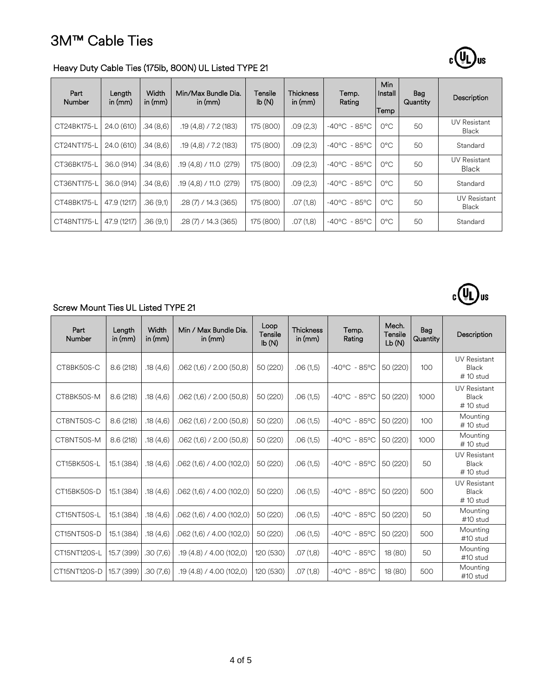

 $c(U_L)$ us

### Heavy Duty Cable Ties (175lb, 800N) UL Listed TYPE 21

| Part<br>Number | Length<br>in $(mm)$ | Width<br>in $(mm)$ | Min/Max Bundle Dia.<br>in $(mm)$ | Tensile<br>Ib(N) | <b>Thickness</b><br>in $(mm)$ | Temp.<br>Rating        | Min<br>Install<br>Temp | Bag<br>Quantity | Description                         |
|----------------|---------------------|--------------------|----------------------------------|------------------|-------------------------------|------------------------|------------------------|-----------------|-------------------------------------|
| CT24BK175-L    | 24.0 (610)          | .34(8,6)           | .19(4,8) / 7.2(183)              | 175 (800)        | .09(2,3)                      | $-40^{\circ}$ C - 85°C | $O^{\circ}C$           | 50              | UV Resistant<br>Black               |
| CT24NT175-L    | 24.0 (610)          | .34 (8,6)          | .19(4,8) / 7.2(183)              | 175 (800)        | .09(2,3)                      | $-40^{\circ}$ C - 85°C | 0°C                    | 50              | Standard                            |
| CT36BK175-L    | 36.0 (914)          | .34(8.6)           | .19(4,8) / 11.0(279)             | 175 (800)        | .09(2,3)                      | $-40^{\circ}$ C - 85°C | $O^{\circ}C$           | 50              | <b>UV Resistant</b><br><b>Black</b> |
| CT36NT175-L    | 36.0 (914)          | .34 (8,6)          | .19(4,8) / 11.0(279)             | 175 (800)        | .09(2,3)                      | $-40^{\circ}$ C - 85°C | $O^{\circ}C$           | 50              | Standard                            |
| CT48BK175-L    | 47.9 (1217)         | .36(9,1)           | $.28(7)$ / 14.3 (365)            | 175 (800)        | .07(1,8)                      | $-40^{\circ}$ C - 85°C | $O^{\circ}C$           | 50              | <b>UV Resistant</b><br>Black        |
| CT48NT175-L    | 47.9 (1217)         | .36(9,1)           | $.28(7)$ / 14.3 (365)            | 175 (800)        | .07(1,8)                      | $-40^{\circ}$ C - 85°C | $O^{\circ}C$           | 50              | Standard                            |

### Screw Mount Ties UL Listed TYPE 21

| Part<br><b>Number</b> | Length<br>in $(mm)$ | Width<br>in $(mm)$ | Min / Max Bundle Dia.<br>in $(mm)$ | Loop<br>Tensile<br>Ib(N) | <b>Thickness</b><br>in $(mm)$ | Temp.<br>Rating        | Mech.<br>Tensile<br>Lb(N) | Bag<br>Quantity | Description                                 |
|-----------------------|---------------------|--------------------|------------------------------------|--------------------------|-------------------------------|------------------------|---------------------------|-----------------|---------------------------------------------|
| CT8BK50S-C            | 8.6(218)            | .18(4,6)           | $.062(1,6)$ / 2.00 (50,8)          | 50 (220)                 | .06(1,5)                      | $-40^{\circ}$ C - 85°C | 50 (220)                  | 100             | <b>UV Resistant</b><br>Black<br>$# 10$ stud |
| CT8BK50S-M            | 8.6(218)            | .18(4,6)           | $.062(1,6)$ / 2.00 (50,8)          | 50 (220)                 | .06(1,5)                      | $-40^{\circ}$ C - 85°C | 50 (220)                  | 1000            | <b>UV Resistant</b><br>Black<br>$# 10$ stud |
| CT8NT50S-C            | 8.6(218)            | .18(4,6)           | $.062(1,6)$ / 2.00 (50,8)          | 50 (220)                 | .06(1,5)                      | $-40^{\circ}$ C - 85°C | 50 (220)                  | 100             | Mounting<br>$# 10$ stud                     |
| CT8NT50S-M            | 8.6(218)            | .18(4,6)           | $.062(1,6)$ / 2.00 (50,8)          | 50 (220)                 | .06(1,5)                      | $-40^{\circ}$ C - 85°C | 50 (220)                  | 1000            | Mounting<br>$# 10$ stud                     |
| CT15BK50S-L           | 15.1 (384)          | .18(4,6)           | .062 (1,6) / 4.00 (102,0)          | 50 (220)                 | .06(1,5)                      | $-40^{\circ}$ C - 85°C | 50 (220)                  | 50              | <b>UV Resistant</b><br>Black<br>$# 10$ stud |
| CT15BK50S-D           | 15.1 (384)          | .18(4,6)           | .062 (1,6) / 4.00 (102,0)          | 50 (220)                 | .06(1,5)                      | $-40^{\circ}$ C - 85°C | 50 (220)                  | 500             | <b>UV Resistant</b><br>Black<br>$# 10$ stud |
| CT15NT50S-L           | 15.1 (384)          | .18(4,6)           | .062 (1,6) / 4.00 (102,0)          | 50 (220)                 | .06(1,5)                      | $-40^{\circ}$ C - 85°C | 50 (220)                  | 50              | Mounting<br>#10 stud                        |
| CT15NT50S-D           | 15.1 (384)          | .18(4,6)           | 062 (1,6) / 4.00 (102,0)           | 50 (220)                 | .06(1,5)                      | $-40^{\circ}$ C - 85°C | 50 (220)                  | 500             | Mounting<br>$#10$ stud                      |
| CT15NT120S-L          | 15.7 (399)          | .30(7,6)           | .19(4.8) / 4.00(102.0)             | 120 (530)                | .07(1,8)                      | $-40^{\circ}$ C - 85°C | 18 (80)                   | 50              | Mounting<br>#10 stud                        |
| CT15NT120S-D          | 15.7 (399)          | .30(7,6)           | .19(4.8) / 4.00(102,0)             | 120 (530)                | .07(1,8)                      | $-40^{\circ}$ C - 85°C | 18 (80)                   | 500             | Mounting<br>#10 stud                        |